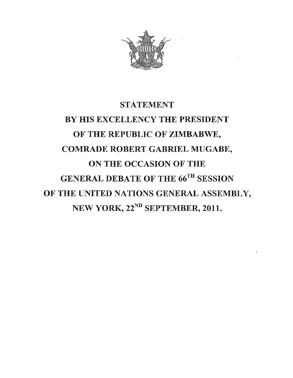

# STATEMENT BY HIS EXCELLENCY THE PRESIDENT OF THE REPUBLIC OF ZIMBABWE, COMRADE ROBERT GABRIEL MUGABE, ON THE OCCASION OF THE GENERAL DEBATE OF THE 66TH SESSION OF THE UNITED NATIONS GENERAL ASSEMBLY, NEW YORK,  $22^{ND}$  SEPTEMBER, 2011.

 $\bar{I}$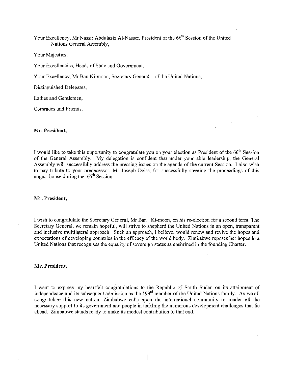Your Excellency, Mr Nassir Abdulaziz Al-Nasser, President of the 66<sup>th</sup> Session of the United Nations General Assembly,

Your Majesties,

Your Excellencies, Heads of State and Government,

Your Excellency, Mr Ban Ki-moon, Secretary General of the United Nations,

Distinguished Delegates,

Ladies and Gentlemen,

Comrades and Friends.

# Mr. President,

I would like to take this opportunity to congratulate you on your election as President of the  $66<sup>th</sup>$  Session of the General Assembly. My delegation is confident that under your able leadership, the General Assembly will successfully address the pressing issues on the agenda of the current Session. I also wish to pay tribute to your predecessor, Mr Joseph Deiss, for successfully steering the proceedings of this august house during the 65th Session.

#### Mr. President,

I wish to congratulate the Secretary General, Mr Ban Ki-moon, on his re-election for a second term. The Secretary General, we remain hopeful, will strive to shepherd the United Nations in an open, transparent and inclusive multilateral approach. Such an approach, I believe, would renew and revive the hopes and expectations of developing countries in the efficacy of the world body. Zimbabwe reposes her hopes in a United Nations that recognises the equality of sovereign states as enshrined in the founding Charter.

### Mr. President,

I want to express my heartfelt congratulations to the Republic of South Sudan on its attainment of independence and its subsequent admission as the 193<sup>rd</sup> member of the United Nations family. As we all congratulate this new nation, Zimbabwe calls upon the international community to render all the necessary support to its government and people in tackling the numerous development challenges that lie ahead. Zimbabwe stands ready to make its modest contribution to that end.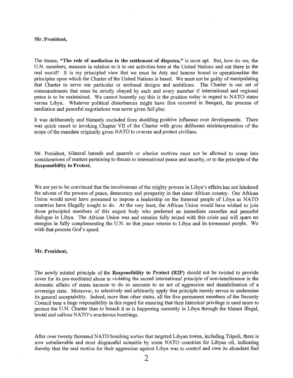#### Mr. President,

The theme, "The role of mediation in the settlement of disputes," is most apt. But, how do we, the U.N. members, measure in relation to it in our activities here at the United Nations and out there in the real world? It is my principled view that we must be duty and honour bound to operationalise the principles upon which the Charter of the United Nations is based. We must not be guilty of manipulating that Charter to serve our particular or sectional designs and ambitions. The Charter is our set of commandments that must be strictly obeyed by each and every member if international and regional peace is to be maintained. We cannot honestly say this is the position today in regard to NATO states versus Libya. Whatever political disturbances might have first occurred in Bengazi, the process of mediation and peaceful negotiations was never given full play.

It was deliberately and blatantly excluded from shedding positive influence over developments. There was quick resort to invoking Chapter VII of the Charter with gross deliberate misinterpretation of the scope of the mandate originally given NATO to oversee and protect civilians.

Mr. President, bilateral hatreds and quarrels or ulterior motives must not be allowed to creep into considerations of matters pertaining to threats to international peace and security, or to the principle ofthe Responsibility to Protect.

We are yet to be convinced that the involvement of the mighty powers in Libya's affairs has not hindered the advent of the process of peace, democracy and prosperity in that sister African country. Our African Union would never have presumed to impose a leadership on the fraternal people of Libya as NATO countries have illegally sought to do. At the very least, the African Union would have wished to join those principled members of this august body who preferred an immediate ceasefire and peaceful dialogue in Libya. The African Union was and remains fully seized with this crisis and will spare no energies in fully complementing the U.N. so that peace returns to Libya and its tormented people. We wish that process God's speed.

# Mr. President,

The newly minted principle of the Responsibility to Protect (R2P) should not be twisted to provide cover for its pre-meditated abuse in violating the sacred international principle of non-interference in the domestic affairs of states because to do so amounts to an act of aggression and destabilisation of a sovereign state. Moreover, to selectively and arbitrarily apply that principle merely serves to undermine its general acceptability. Indeed, more than other states, all the five permanent members of the Security Council bear a huge responsibility in this regard for ensuring that their historical privilege is used more to protect the U.N. Charter than to breach it as is happening currently in Libya through the blatant illegal, brutal and callous NATO's murderous bombings.

After over twenty thousand NATO bombing sorties that targeted Libyan towns, including Tripoli, there is now unbelievable and most disgraceful scramble by some NATO countries for Libyan oil, indicating thereby that the real motive for their aggression against Libya was to control and own its abundant fuel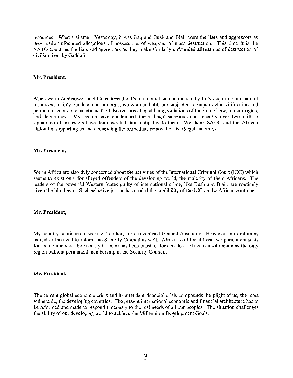resources. What a shame! Yesterday, it was Iraq and Bush and Blair were the liars and aggressors as they made unfounded allegations of possessions of weapons of mass destruction. This time it is the NATO countries the liars and aggressors as they make similarly unfounded allegations of destruction of civilian lives by Gaddafi:

## Mr. President,

When we in Zimbabwe sought to redress the ills of colonialism and racism, by fully acquiring our natural resources, mainly our land and minerals, we were and still are subjected to unparalleled vilification and pernicious economic sanctions, the false reasons alleged being violations of the rule of law, human rights, and democracy. My people have condemned these illegal sanctions and recently over two million signatures of protesters have demonstrated their antipathy to them. We thank SADC and the African Union for supporting us and demanding the immediate removal of the illegal sanctions.

## Mr. President,

We in Africa are also duly concerned about the activities of the International Criminal Court (ICC) which seems to exist only for alleged offenders of the developing world, the majority of them Africans. The leaders of the powerful Western States guilty of international crime, like Bush and Blair, are routinely given the blind eye. Such selective justice has eroded the credibility of the ICC on the African continent.

# Mr. President,

My country continues to work with others for a revitalised General Assembly. However, our ambitions extend to the need to reform the Security Council as well. Africa's call for at least two permanent seats for its members on the Security Council has been constant for decades. Africa cannot remain as the only region without permanent membership in the Security Council.

## Mr. President,

The current global economic crisis and its attendant financial crisis compounds the plight of us, the most vulnerable, the developing countries. The present international economic and financial architecture has to be reformed and made to respond timeously to the real needs of all our peoples. The situation challenges the ability of our developing world to achieve the Millennium Development Goals.